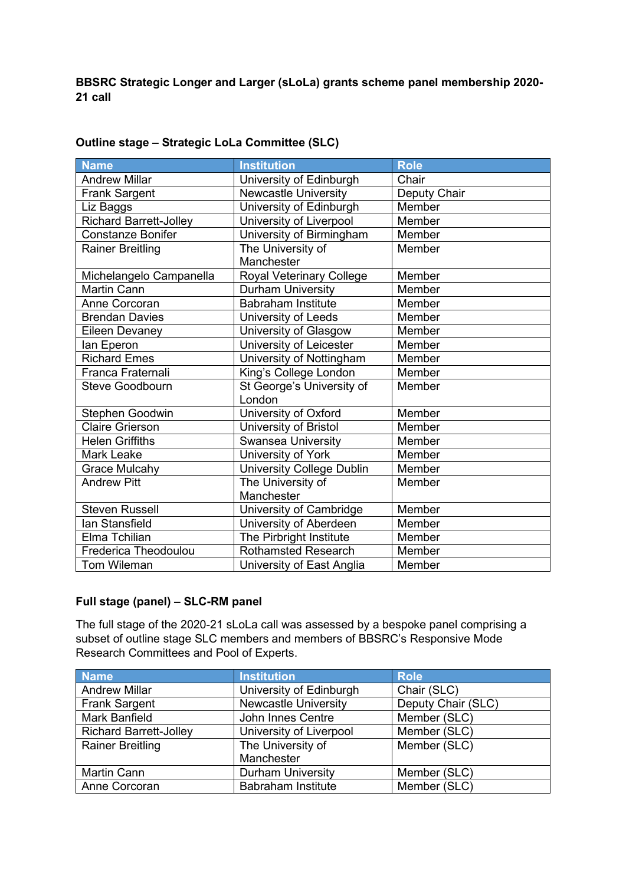**BBSRC Strategic Longer and Larger (sLoLa) grants scheme panel membership 2020- 21 call**

| Name                          | <b>Institution</b>               | <b>Role</b>  |
|-------------------------------|----------------------------------|--------------|
| <b>Andrew Millar</b>          | University of Edinburgh          | Chair        |
| <b>Frank Sargent</b>          | <b>Newcastle University</b>      | Deputy Chair |
| Liz Baggs                     | University of Edinburgh          | Member       |
| <b>Richard Barrett-Jolley</b> | University of Liverpool          | Member       |
| <b>Constanze Bonifer</b>      | University of Birmingham         | Member       |
| <b>Rainer Breitling</b>       | The University of                | Member       |
|                               | Manchester                       |              |
| Michelangelo Campanella       | Royal Veterinary College         | Member       |
| <b>Martin Cann</b>            | <b>Durham University</b>         | Member       |
| Anne Corcoran                 | <b>Babraham Institute</b>        | Member       |
| <b>Brendan Davies</b>         | University of Leeds              | Member       |
| <b>Eileen Devaney</b>         | University of Glasgow            | Member       |
| lan Eperon                    | University of Leicester          | Member       |
| <b>Richard Emes</b>           | University of Nottingham         | Member       |
| Franca Fraternali             | King's College London            | Member       |
| <b>Steve Goodbourn</b>        | St George's University of        | Member       |
|                               | London                           |              |
| Stephen Goodwin               | University of Oxford             | Member       |
| <b>Claire Grierson</b>        | University of Bristol            | Member       |
| <b>Helen Griffiths</b>        | Swansea University               | Member       |
| <b>Mark Leake</b>             | University of York               | Member       |
| <b>Grace Mulcahy</b>          | <b>University College Dublin</b> | Member       |
| <b>Andrew Pitt</b>            | The University of                | Member       |
|                               | Manchester                       |              |
| <b>Steven Russell</b>         | University of Cambridge          | Member       |
| <b>lan Stansfield</b>         | University of Aberdeen           | Member       |
| Elma Tchilian                 | The Pirbright Institute          | Member       |
| <b>Frederica Theodoulou</b>   | <b>Rothamsted Research</b>       | Member       |
| <b>Tom Wileman</b>            | University of East Anglia        | Member       |

## **Outline stage – Strategic LoLa Committee (SLC)**

## **Full stage (panel) – SLC-RM panel**

The full stage of the 2020-21 sLoLa call was assessed by a bespoke panel comprising a subset of outline stage SLC members and members of BBSRC's Responsive Mode Research Committees and Pool of Experts.

| <b>Name</b>                   | <b>Institution</b>          | <b>Role</b>        |
|-------------------------------|-----------------------------|--------------------|
| <b>Andrew Millar</b>          | University of Edinburgh     | Chair (SLC)        |
| <b>Frank Sargent</b>          | <b>Newcastle University</b> | Deputy Chair (SLC) |
| <b>Mark Banfield</b>          | John Innes Centre           | Member (SLC)       |
| <b>Richard Barrett-Jolley</b> | University of Liverpool     | Member (SLC)       |
| <b>Rainer Breitling</b>       | The University of           | Member (SLC)       |
|                               | Manchester                  |                    |
| <b>Martin Cann</b>            | <b>Durham University</b>    | Member (SLC)       |
| Anne Corcoran                 | <b>Babraham Institute</b>   | Member (SLC)       |